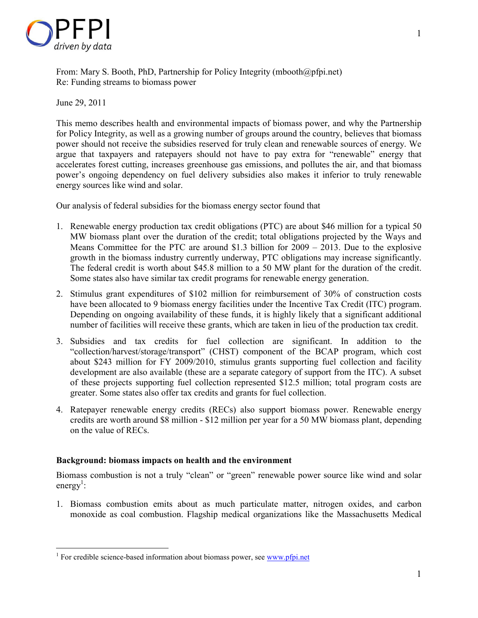

From: Mary S. Booth, PhD, Partnership for Policy Integrity (mbooth@pfpi.net) Re: Funding streams to biomass power

June 29, 2011

<u>.</u>

This memo describes health and environmental impacts of biomass power, and why the Partnership for Policy Integrity, as well as a growing number of groups around the country, believes that biomass power should not receive the subsidies reserved for truly clean and renewable sources of energy. We argue that taxpayers and ratepayers should not have to pay extra for "renewable" energy that accelerates forest cutting, increases greenhouse gas emissions, and pollutes the air, and that biomass power's ongoing dependency on fuel delivery subsidies also makes it inferior to truly renewable energy sources like wind and solar.

Our analysis of federal subsidies for the biomass energy sector found that

- 1. Renewable energy production tax credit obligations (PTC) are about \$46 million for a typical 50 MW biomass plant over the duration of the credit; total obligations projected by the Ways and Means Committee for the PTC are around \$1.3 billion for 2009 – 2013. Due to the explosive growth in the biomass industry currently underway, PTC obligations may increase significantly. The federal credit is worth about \$45.8 million to a 50 MW plant for the duration of the credit. Some states also have similar tax credit programs for renewable energy generation.
- 2. Stimulus grant expenditures of \$102 million for reimbursement of 30% of construction costs have been allocated to 9 biomass energy facilities under the Incentive Tax Credit (ITC) program. Depending on ongoing availability of these funds, it is highly likely that a significant additional number of facilities will receive these grants, which are taken in lieu of the production tax credit.
- 3. Subsidies and tax credits for fuel collection are significant. In addition to the "collection/harvest/storage/transport" (CHST) component of the BCAP program, which cost about \$243 million for FY 2009/2010, stimulus grants supporting fuel collection and facility development are also available (these are a separate category of support from the ITC). A subset of these projects supporting fuel collection represented \$12.5 million; total program costs are greater. Some states also offer tax credits and grants for fuel collection.
- 4. Ratepayer renewable energy credits (RECs) also support biomass power. Renewable energy credits are worth around \$8 million - \$12 million per year for a 50 MW biomass plant, depending on the value of RECs.

## **Background: biomass impacts on health and the environment**

Biomass combustion is not a truly "clean" or "green" renewable power source like wind and solar energy<sup>1</sup>:

1. Biomass combustion emits about as much particulate matter, nitrogen oxides, and carbon monoxide as coal combustion. Flagship medical organizations like the Massachusetts Medical

<sup>&</sup>lt;sup>1</sup> For credible science-based information about biomass power, see www.pfpi.net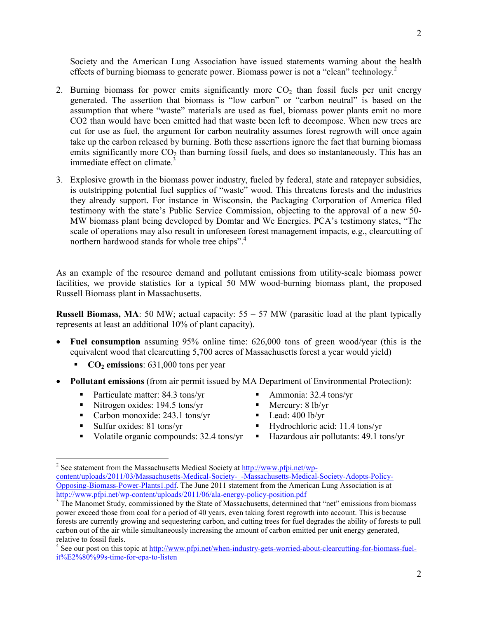Society and the American Lung Association have issued statements warning about the health effects of burning biomass to generate power. Biomass power is not a "clean" technology.<sup>2</sup>

- 2. Burning biomass for power emits significantly more  $CO<sub>2</sub>$  than fossil fuels per unit energy generated. The assertion that biomass is "low carbon" or "carbon neutral" is based on the assumption that where "waste" materials are used as fuel, biomass power plants emit no more CO2 than would have been emitted had that waste been left to decompose. When new trees are cut for use as fuel, the argument for carbon neutrality assumes forest regrowth will once again take up the carbon released by burning. Both these assertions ignore the fact that burning biomass emits significantly more  $CO<sub>2</sub>$  than burning fossil fuels, and does so instantaneously. This has an immediate effect on climate.<sup>3</sup>
- 3. Explosive growth in the biomass power industry, fueled by federal, state and ratepayer subsidies, is outstripping potential fuel supplies of "waste" wood. This threatens forests and the industries they already support. For instance in Wisconsin, the Packaging Corporation of America filed testimony with the state's Public Service Commission, objecting to the approval of a new 50- MW biomass plant being developed by Domtar and We Energies. PCA's testimony states, "The scale of operations may also result in unforeseen forest management impacts, e.g., clearcutting of northern hardwood stands for whole tree chips".<sup>4</sup>

As an example of the resource demand and pollutant emissions from utility-scale biomass power facilities, we provide statistics for a typical 50 MW wood-burning biomass plant, the proposed Russell Biomass plant in Massachusetts.

**Russell Biomass, MA**: 50 MW; actual capacity:  $55 - 57$  MW (parasitic load at the plant typically represents at least an additional 10% of plant capacity).

- **Fuel consumption** assuming 95% online time: 626,000 tons of green wood/year (this is the equivalent wood that clearcutting 5,700 acres of Massachusetts forest a year would yield)
	- **CO**<sub>2</sub> **emissions**: 631,000 tons per year
- **Pollutant emissions** (from air permit issued by MA Department of Environmental Protection):
	- **Particulate matter: 84.3 tons/yr**
	- Vitrogen oxides:  $194.5 \text{ tons/yr}$
	- Carbon monoxide: 243.1 tons/yr
	- Sulfur oxides:  $81$  tons/vr

-

- Volatile organic compounds: 32.4 tons/yr
- Ammonia: 32.4 tons/yr
- Mercury: 8 lb/yr
- $\blacksquare$  Lead: 400 lb/yr
- Hydrochloric acid: 11.4 tons/yr
- Hazardous air pollutants: 49.1 tons/yr

<sup>&</sup>lt;sup>2</sup> See statement from the Massachusetts Medical Society at **http://www.pfpi.net/wp**content/uploads/2011/03/Massachusetts-Medical-Society-\_-Massachusetts-Medical-Society-Adopts-Policy-Opposing-Biomass-Power-Plants1.pdf. The June 2011 statement from the American Lung Association is at http://www.pfpi.net/wp-content/uploads/2011/06/ala-energy-policy-position.pdf

<sup>&</sup>lt;sup>3</sup> The Manomet Study, commissioned by the State of Massachusetts, determined that "net" emissions from biomass power exceed those from coal for a period of 40 years, even taking forest regrowth into account. This is because forests are currently growing and sequestering carbon, and cutting trees for fuel degrades the ability of forests to pull carbon out of the air while simultaneously increasing the amount of carbon emitted per unit energy generated, relative to fossil fuels.

<sup>&</sup>lt;sup>4</sup> See our post on this topic at http://www.pfpi.net/when-industry-gets-worried-about-clearcutting-for-biomass-fuelit%E2%80%99s-time-for-epa-to-listen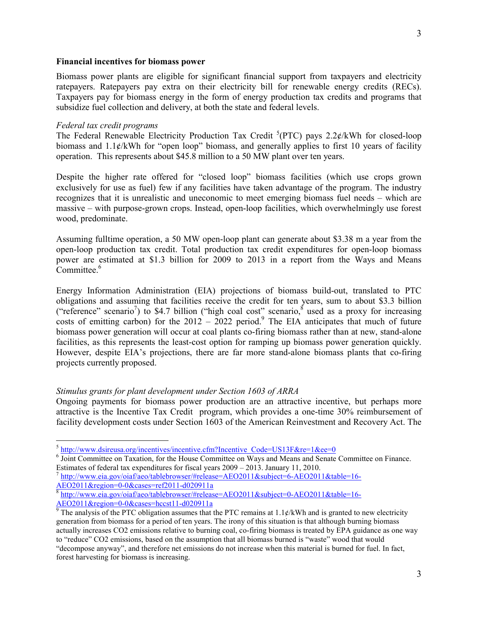#### **Financial incentives for biomass power**

Biomass power plants are eligible for significant financial support from taxpayers and electricity ratepayers. Ratepayers pay extra on their electricity bill for renewable energy credits (RECs). Taxpayers pay for biomass energy in the form of energy production tax credits and programs that subsidize fuel collection and delivery, at both the state and federal levels.

#### *Federal tax credit programs*

The Federal Renewable Electricity Production Tax Credit  ${}^5$ (PTC) pays 2.2¢/kWh for closed-loop biomass and  $1.1\ell$ /kWh for "open loop" biomass, and generally applies to first 10 years of facility operation. This represents about \$45.8 million to a 50 MW plant over ten years.

Despite the higher rate offered for "closed loop" biomass facilities (which use crops grown exclusively for use as fuel) few if any facilities have taken advantage of the program. The industry recognizes that it is unrealistic and uneconomic to meet emerging biomass fuel needs – which are massive – with purpose-grown crops. Instead, open-loop facilities, which overwhelmingly use forest wood, predominate.

Assuming fulltime operation, a 50 MW open-loop plant can generate about \$3.38 m a year from the open-loop production tax credit. Total production tax credit expenditures for open-loop biomass power are estimated at \$1.3 billion for 2009 to 2013 in a report from the Ways and Means Committee.<sup>6</sup>

Energy Information Administration (EIA) projections of biomass build-out, translated to PTC obligations and assuming that facilities receive the credit for ten years, sum to about \$3.3 billion ("reference" scenario<sup>7</sup>) to \$4.7 billion ("high coal cost" scenario, used as a proxy for increasing costs of emitting carbon) for the  $2012 - 2022$  period.<sup>9</sup> The EIA anticipates that much of future biomass power generation will occur at coal plants co-firing biomass rather than at new, stand-alone facilities, as this represents the least-cost option for ramping up biomass power generation quickly. However, despite EIA's projections, there are far more stand-alone biomass plants that co-firing projects currently proposed.

#### *Stimulus grants for plant development under Section 1603 of ARRA*

Ongoing payments for biomass power production are an attractive incentive, but perhaps more attractive is the Incentive Tax Credit program, which provides a one-time 30% reimbursement of facility development costs under Section 1603 of the American Reinvestment and Recovery Act. The

<sup>&</sup>lt;sup>5</sup> http://www.dsireusa.org/incentives/incentive.cfm?Incentive\_Code=US13F&re=1&ee=0

<sup>&</sup>lt;sup>6</sup> Joint Committee on Taxation, for the House Committee on Ways and Means and Senate Committee on Finance. Estimates of federal tax expenditures for fiscal years 2009 – 2013. January 11, 2010.

<sup>&</sup>lt;sup>7</sup> http://www.eia.gov/oiaf/aeo/tablebrowser/#release=AEO2011&subject=6-AEO2011&table=16-AEO2011&region=0-0&cases=ref2011-d020911a<br><sup>8</sup> http://www.eia.gov/oiaf/aeo/tablebrowser/#release=AEO2011&subject=0-AEO2011&table=16-

 $\frac{\text{AEO}2011\&\text{region}=0-0\&\text{cases}= \text{hccst11-d020911a}}{9}$  The analysis of the PTC obligation assumes that the PTC remains at 1.1¢/kWh and is granted to new electricity generation from biomass for a period of ten years. The irony of this situation is that although burning biomass actually increases CO2 emissions relative to burning coal, co-firing biomass is treated by EPA guidance as one way to "reduce" CO2 emissions, based on the assumption that all biomass burned is "waste" wood that would "decompose anyway", and therefore net emissions do not increase when this material is burned for fuel. In fact, forest harvesting for biomass is increasing.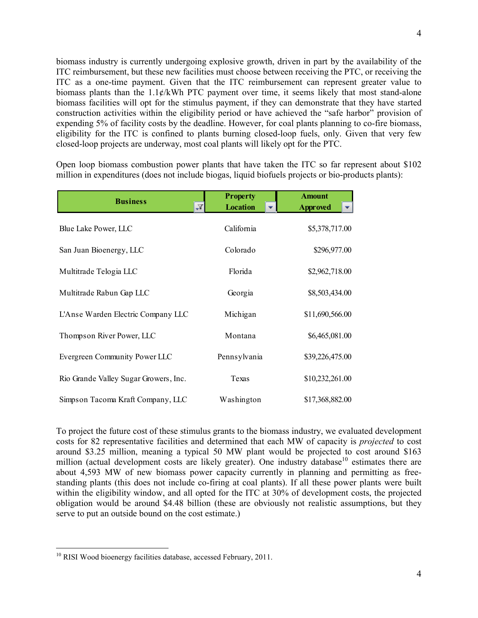biomass industry is currently undergoing explosive growth, driven in part by the availability of the ITC reimbursement, but these new facilities must choose between receiving the PTC, or receiving the ITC as a one-time payment. Given that the ITC reimbursement can represent greater value to biomass plants than the 1.1¢/kWh PTC payment over time, it seems likely that most stand-alone biomass facilities will opt for the stimulus payment, if they can demonstrate that they have started construction activities within the eligibility period or have achieved the "safe harbor" provision of expending 5% of facility costs by the deadline. However, for coal plants planning to co-fire biomass, eligibility for the ITC is confined to plants burning closed-loop fuels, only. Given that very few closed-loop projects are underway, most coal plants will likely opt for the PTC.

Open loop biomass combustion power plants that have taken the ITC so far represent about \$102 million in expenditures (does not include biogas, liquid biofuels projects or bio-products plants):

| <b>Business</b>                       | <b>Property</b><br><b>Location</b><br>N | <b>Amount</b><br><b>Approved</b> |
|---------------------------------------|-----------------------------------------|----------------------------------|
| Blue Lake Power, LLC                  | California                              | \$5,378,717.00                   |
| San Juan Bioenergy, LLC               | Colorado                                | \$296,977.00                     |
| Multitrade Telogia LLC                | Florida                                 | \$2,962,718.00                   |
| Multitrade Rabun Gap LLC              | Georgia                                 | \$8,503,434.00                   |
| L'Anse Warden Electric Company LLC    | Michigan                                | \$11,690,566.00                  |
| Thompson River Power, LLC             | Montana                                 | \$6,465,081.00                   |
| Evergreen Community Power LLC         | Pennsylvania                            | \$39,226,475.00                  |
| Rio Grande Valley Sugar Growers, Inc. | Texas                                   | \$10,232,261.00                  |
| Simpson Tacoma Kraft Company, LLC     | Washington                              | \$17,368,882.00                  |

To project the future cost of these stimulus grants to the biomass industry, we evaluated development costs for 82 representative facilities and determined that each MW of capacity is *projected* to cost around \$3.25 million, meaning a typical 50 MW plant would be projected to cost around \$163 million (actual development costs are likely greater). One industry database<sup>10</sup> estimates there are about 4,593 MW of new biomass power capacity currently in planning and permitting as freestanding plants (this does not include co-firing at coal plants). If all these power plants were built within the eligibility window, and all opted for the ITC at 30% of development costs, the projected obligation would be around \$4.48 billion (these are obviously not realistic assumptions, but they serve to put an outside bound on the cost estimate.)

<u>.</u>

 $10$  RISI Wood bioenergy facilities database, accessed February, 2011.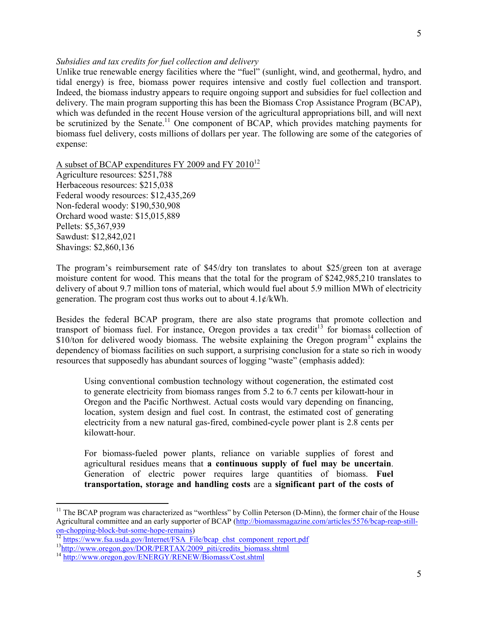### *Subsidies and tax credits for fuel collection and delivery*

Unlike true renewable energy facilities where the "fuel" (sunlight, wind, and geothermal, hydro, and tidal energy) is free, biomass power requires intensive and costly fuel collection and transport. Indeed, the biomass industry appears to require ongoing support and subsidies for fuel collection and delivery. The main program supporting this has been the Biomass Crop Assistance Program (BCAP), which was defunded in the recent House version of the agricultural appropriations bill, and will next be scrutinized by the Senate.<sup>11</sup> One component of BCAP, which provides matching payments for biomass fuel delivery, costs millions of dollars per year. The following are some of the categories of expense:

A subset of BCAP expenditures FY 2009 and FY 2010<sup>12</sup>

Agriculture resources: \$251,788 Herbaceous resources: \$215,038 Federal woody resources: \$12,435,269 Non-federal woody: \$190,530,908 Orchard wood waste: \$15,015,889 Pellets: \$5,367,939 Sawdust: \$12,842,021 Shavings: \$2,860,136

The program's reimbursement rate of \$45/dry ton translates to about \$25/green ton at average moisture content for wood. This means that the total for the program of \$242,985,210 translates to delivery of about 9.7 million tons of material, which would fuel about 5.9 million MWh of electricity generation. The program cost thus works out to about  $4.1\frac{\epsilon}{kWh}$ .

Besides the federal BCAP program, there are also state programs that promote collection and transport of biomass fuel. For instance, Oregon provides a tax credit<sup>13</sup> for biomass collection of \$10/ton for delivered woody biomass. The website explaining the Oregon program<sup>14</sup> explains the dependency of biomass facilities on such support, a surprising conclusion for a state so rich in woody resources that supposedly has abundant sources of logging "waste" (emphasis added):

Using conventional combustion technology without cogeneration, the estimated cost to generate electricity from biomass ranges from 5.2 to 6.7 cents per kilowatt-hour in Oregon and the Pacific Northwest. Actual costs would vary depending on financing, location, system design and fuel cost. In contrast, the estimated cost of generating electricity from a new natural gas-fired, combined-cycle power plant is 2.8 cents per kilowatt-hour.

For biomass-fueled power plants, reliance on variable supplies of forest and agricultural residues means that **a continuous supply of fuel may be uncertain**. Generation of electric power requires large quantities of biomass. **Fuel transportation, storage and handling costs** are a **significant part of the costs of** 

-

<sup>&</sup>lt;sup>11</sup> The BCAP program was characterized as "worthless" by Collin Peterson (D-Minn), the former chair of the House Agricultural committee and an early supporter of BCAP (http://biomassmagazine.com/articles/5576/bcap-reap-stillon-chopping-block-but-some-hope-remains)

<sup>&</sup>lt;sup>12</sup> https://www.fsa.usda.gov/Internet/FSA\_File/bcap\_chst\_component\_report.pdf

<sup>&</sup>lt;sup>13</sup>http://www.oregon.gov/DOR/PERTAX/2009\_piti/credits\_biomass.shtml

<sup>14</sup> http://www.oregon.gov/ENERGY/RENEW/Biomass/Cost.shtml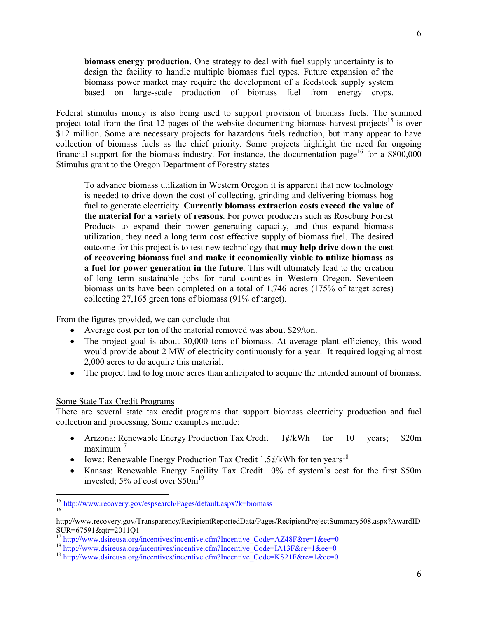**biomass energy production**. One strategy to deal with fuel supply uncertainty is to design the facility to handle multiple biomass fuel types. Future expansion of the biomass power market may require the development of a feedstock supply system based on large-scale production of biomass fuel from energy crops.

Federal stimulus money is also being used to support provision of biomass fuels. The summed project total from the first 12 pages of the website documenting biomass harvest projects<sup>15</sup> is over \$12 million. Some are necessary projects for hazardous fuels reduction, but many appear to have collection of biomass fuels as the chief priority. Some projects highlight the need for ongoing financial support for the biomass industry. For instance, the documentation page<sup>16</sup> for a \$800,000 Stimulus grant to the Oregon Department of Forestry states

To advance biomass utilization in Western Oregon it is apparent that new technology is needed to drive down the cost of collecting, grinding and delivering biomass hog fuel to generate electricity. **Currently biomass extraction costs exceed the value of the material for a variety of reasons**. For power producers such as Roseburg Forest Products to expand their power generating capacity, and thus expand biomass utilization, they need a long term cost effective supply of biomass fuel. The desired outcome for this project is to test new technology that **may help drive down the cost of recovering biomass fuel and make it economically viable to utilize biomass as a fuel for power generation in the future**. This will ultimately lead to the creation of long term sustainable jobs for rural counties in Western Oregon. Seventeen biomass units have been completed on a total of 1,746 acres (175% of target acres) collecting 27,165 green tons of biomass (91% of target).

From the figures provided, we can conclude that

- Average cost per ton of the material removed was about \$29/ton.
- The project goal is about 30,000 tons of biomass. At average plant efficiency, this wood would provide about 2 MW of electricity continuously for a year. It required logging almost 2,000 acres to do acquire this material.
- The project had to log more acres than anticipated to acquire the intended amount of biomass.

## Some State Tax Credit Programs

<u>.</u>

There are several state tax credit programs that support biomass electricity production and fuel collection and processing. Some examples include:

- Arizona: Renewable Energy Production Tax Credit 1¢/kWh for 10 years; \$20m  $maximum<sup>17</sup>$
- Iowa: Renewable Energy Production Tax Credit 1.5¢/kWh for ten years<sup>18</sup>
- Kansas: Renewable Energy Facility Tax Credit 10% of system's cost for the first \$50m invested; 5% of cost over  $$50m<sup>19</sup>$

<sup>&</sup>lt;sup>15</sup> http://www.recovery.gov/espsearch/Pages/default.aspx?k=biomass 16

http://www.recovery.gov/Transparency/RecipientReportedData/Pages/RecipientProjectSummary508.aspx?AwardID SUR=67591&qtr=2011Q1

<sup>&</sup>lt;sup>17</sup> http://www.dsireusa.org/incentives/incentive.cfm?Incentive\_Code=AZ48F&re=1&ee=0

<sup>&</sup>lt;sup>18</sup> http://www.dsireusa.org/incentives/incentive.cfm?Incentive\_Code=IA13F&re=1&ee=0

 $19 \text{ http://www.dsireusa.org/incentives/incentive.cfm?Incentive Code=KS21F&re=1ⅇ=0$